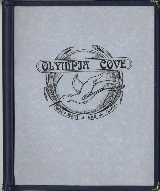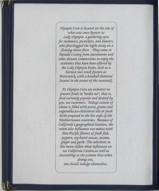Olympia Cove is located on the site of what was once known as Lake Olympia. a gathering spot for swimmers, picnickers, and dancers, who jitterbugged the night away on a floating dance floor. They came to Nevada County from Sacramento and other distant communities to enjoy the activities that have been offered by the Lake Olympia basin, such as a harness race track known as Brunswick, with a baseball diamond located in the center of the racetrack.

At Olympia Cove we endeavor to present foods in "media res", that is, food currently popular and desired by you, our customers. Todays cuisine of choice is filled with pasta, grains and vegetables;no-cholesterol oils & fresh herbs prepared in the lite style of the Mediterranean countries. Because of California's geographical location, the orient also influences our menus with Pan-Pacific flavors of fresh fish, peppers, soy based sauces, sesame, ginger and garlic. The selections in this menu reflect these influences on our California Cuisine, as well as succumbing to the premise that when dining out, one should indulge themselves.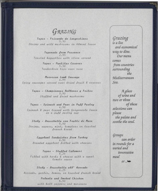GRAZING

Tapas - Fricando de Langostinos  $5.50$ Shrimp and wild mushrooms in Almond Sauce

Tapenade from Provence  $2.95$ Toasted Raguettes with olive spread

> Tapas - Puntitas Caseras  $5.50$ Tenderloin tips over rice

Monoccan Lamb Sausage  $4.95$ Spicy sausages served over dried fruit & coucous

> Tapas - Champinones Rellenos y Fritos  $3.50$ Stuffed and fried mushrooms

Tapas - Spinach and Pean in Puff Pastry  $4.50$ Spinach & pear topped with Gorgonzola Sauce in a puff pastry cup

Italy - Bruschetta con Frutti di Mare Shaimp, capeas, mint, tomatoes on toasted Liench *Eread* 

Eggplant Sandwiches from Turkey  $4.50$ Breaded eggplant filled with cheeses

Tapas - Stuffed Calamani  $5.25$ Filled with herls & cheese with a sweet tomato squce

Italy - Bruschetta all' Avocado  $4.25$ Avocado, garlic, lemon, on toasted french bread

> Polenta and Smoked Chicken  $5.50$ with bell peppers and marinara

Grazing is a lite and economical way to dine. Оит тепи  $contes$ from countries surrounding the Mediterranean Sea.

A glass of wine and two or three of these selections can please the palate and soothe the soul.

Groups can order in rounds for a varied and innovative meal

 $OT \dots$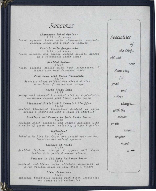# SPECIALS

Champagne Baked Oysters 8.95 a la carte Fresh oysters Laked with champagne, spinach, garlic, cream and a dash of sambuca

Ravioli with Gongonzola 6.95 a al carte Fresh spinach and cheese filled ravioli napped<br>in a Gorgonzola Cream Sauce

## Grilled Salmon 14.95 Fresh fillets rubbed with pink peppercorns & senved oven mint bechamel sauce

Pork Loin with Onion Marmalade  $12.95$ Boneless chops grilled and finished with a manmalade of onions and orange

## Apple Roast Duck  $16.25$

young duck steamed & roasted with an Apple-Spice marinade. Served with house apple sauce

#### Blackened Fillet with Crawfish Etouffee 15.50

Skillet blackened tenderloin dredged in cajun spices & smothered with a sauce of crawfish

Scallops and Prawns in Jade Pesto Sauce 15.50

Sauteed fresh scallops and prawns finished with a pesto of green onion, cilantro, ginger & garlic

#### *<u>Hellowtail</u>*  $14.25$

Baked with Pine Nut Crust and served over onions, tomatoes and wilted spinach

#### Sausage al Pesto  $11.95$

Grilled Italian sausage & apples with fresh Lettuccini, pesto & asiago cheese

## Venison in Shiitake Mushnoom Sauce  $15.95$

Sauteed medallions with shiitake mushrooms in<br>a Pan-Pacific sauce of soy, chile & orange

#### Filet Primavera  $74.95$

Julienne tendenloin tossed with fresh vegetables and lemon-lasil fettuccini

Specialties of the Chef... old and new. Some stay for good and others change..... with the season or the  $<sub>1110011...</sub>$ </sub> от уоит mood  $or \equiv$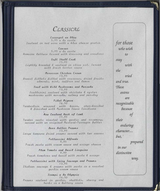CLASSICAL

Escangot en Bleu  $5.95$  a la carte Sauteed in red wine with a blue cheese gratin

Caesar 5.95 a la carte Romaine lettuce tossed with dressing and croutons

Soft Shell Crab 15.95 Lightly & neaded & sauteed in olive oil. Senved with fresh tartar sauce

Monoccan Chicken Crown  $73.95$ Breast fillets filled with couscous, dried fruits almonds, mint, saffron and lemon

Veal with Wild Mushnooms and Mansala 13.95 Scallopini sauteed with shiitake & oyster mushrooms with marsala, nutmeg and parsley

Filet Mignon  $16.50$ chan-knoiled Tenderloin wrapped with bacon, & Linished with Mushnoom Sauce Siciliana

New Zealand Rack of Lamb 17.95 Tender racks roasted with garlic and rosemary, served with an original Mustard-Tarragon Butter

Been Batter Prawns 13.95 Lange tempuna fried prawns served with two sauces

Fettuccini Alfredo 9.95 Fresh pasta with cream sauce and asiago cheese

Plum Tomato and Basil Linguine  $9.95$ Fresh tomatoes and basil with pasta & asiago

Fettuccini with Spicy Sausage and Prawns  $3.95$ Italian sausage & prawns with pasta in a roasted garlic cream sauce

Scampi a la Olympia  $14.50$ Prawns sauteed in garlic, shallots, sherry and here's in a buttery sauce

for those who wish  $to$ stay  $with$ the tried and true. These entres are recognizable because of their enduring character....  $but,$ prepared in our distinctive way.